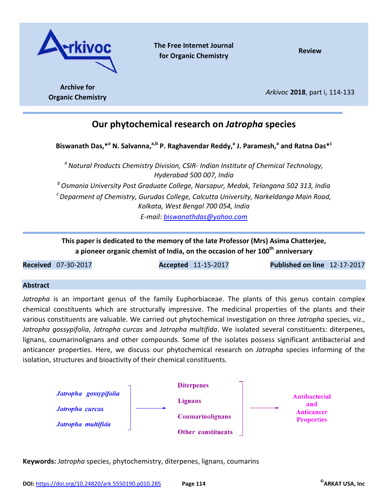

**The Free Internet Journal for Organic Chemistry Review**

**Archive for Organic Chemistry** *Arkivoc* **<sup>2018</sup>**, part i, 114-133

# **Our phytochemical research on** *Jatropha* **species**

**Biswanath Das,\*<sup>a</sup> N. Salvanna,a,b P. Raghavendar Reddy,<sup>a</sup> J. Paramesh,<sup>a</sup> and Ratna Das\*<sup>c</sup>**

*<sup>a</sup>Natural Products Chemistry Division, CSIR- Indian Institute of Chemical Technology, Hyderabad 500 007, India <sup>b</sup>Osmania University Post Graduate College, Narsapur, Medak, Telangana 502 313, India <sup>c</sup>Deparment of Chemistry, Gurudas College, Calcutta University, Narkeldanga Main Road, Kolkata, West Bengal 700 054, India* 

*E-mail: biswanathdas@yahoo.com* 

**This paper is dedicated to the memory of the late Professor (Mrs) Asima Chatterjee, a pioneer organic chemist of India, on the occasion of her 100th anniversary**

**Received** 07-30-2017 **Accepted** 11-15-2017 **Published on line** 12-17-2017

## **Abstract**

*Jatropha* is an important genus of the family Euphorbiaceae. The plants of this genus contain complex chemical constituents which are structurally impressive. The medicinal properties of the plants and their various constituents are valuable. We carried out phytochemical investigation on three *Jatropha* species, viz., *Jatropha gossypifolia*, *Jatropha curcas* and *Jatropha multifida*. We isolated several constituents: diterpenes, lignans, coumarinolignans and other compounds. Some of the isolates possess significant antibacterial and anticancer properties. Here, we discuss our phytochemical research on *Jatropha* species informing of the isolation, structures and bioactivity of their chemical constituents.



**Keywords:** *Jatropha* species, phytochemistry, diterpenes, lignans, coumarins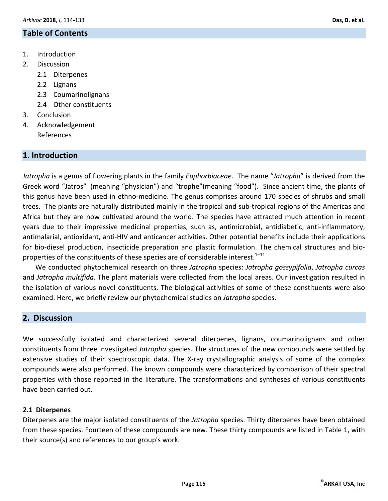# **Table of Contents**

- 1. Introduction
- 2. Discussion
	- 2.1 Diterpenes
	- 2.2 Lignans
	- 2.3 Coumarinolignans
	- 2.4 Other constituents
- 3. Conclusion
- 4. Acknowledgement References

# **1. Introduction**

*Jatropha* is a genus of flowering plants in the family *Euphorbiaceae*. The name "*Jatropha*" is derived from the Greek word "Jatros" (meaning "physician") and "trophe"(meaning "food"). Since ancient time, the plants of this genus have been used in ethno-medicine. The genus comprises around 170 species of shrubs and small trees. The plants are naturally distributed mainly in the tropical and sub-tropical regions of the Americas and Africa but they are now cultivated around the world. The species have attracted much attention in recent years due to their impressive medicinal properties, such as, antimicrobial, antidiabetic, anti-inflammatory, antimalarial, antioxidant, anti-HIV and anticancer activities. Other potential benefits include their applications for bio-diesel production, insecticide preparation and plastic formulation. The chemical structures and bioproperties of the constituents of these species are of considerable interest.<sup>1-11</sup>

We conducted phytochemical research on three *Jatropha* species: *Jatropha gossypifolia*, *Jatropha curcas* and *Jatropha multifida.* The plant materials were collected from the local areas. Our investigation resulted in the isolation of various novel constituents. The biological activities of some of these constituents were also examined. Here, we briefly review our phytochemical studies on *Jatropha* species.

# **2. Discussion**

We successfully isolated and characterized several diterpenes, lignans, coumarinolignans and other constituents from three investigated *Jatropha* species. The structures of the new compounds were settled by extensive studies of their spectroscopic data. The X-ray crystallographic analysis of some of the complex compounds were also performed. The known compounds were characterized by comparison of their spectral properties with those reported in the literature. The transformations and syntheses of various constituents have been carried out.

## **2.1 Diterpenes**

Diterpenes are the major isolated constituents of the *Jatropha* species. Thirty diterpenes have been obtained from these species. Fourteen of these compounds are new. These thirty compounds are listed in Table 1, with their source(s) and references to our group's work.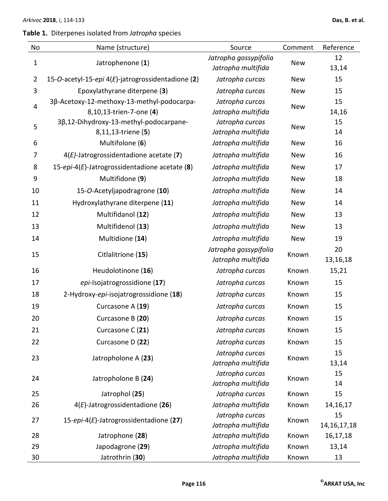# **Table 1.** Diterpenes isolated from *Jatropha* species

| No                      | Name (structure)                                  | Source                                      | Comment    | Reference      |
|-------------------------|---------------------------------------------------|---------------------------------------------|------------|----------------|
| $\mathbf{1}$            | Jatrophenone (1)                                  | Jatropha gossypifolia                       | <b>New</b> | 12             |
|                         |                                                   | Jatropha multifida                          |            | 13,14          |
| $\overline{2}$          | 15-O-acetyl-15-epi 4(E)-jatrogrossidentadione (2) | Jatropha curcas                             | <b>New</b> | 15             |
| 3                       | Epoxylathyrane diterpene (3)                      | Jatropha curcas                             | <b>New</b> | 15             |
| $\overline{\mathbf{4}}$ | 3β-Acetoxy-12-methoxy-13-methyl-podocarpa-        | Jatropha curcas                             | <b>New</b> | 15             |
|                         | 8,10,13-trien-7-one (4)                           | Jatropha multifida                          |            | 14,16          |
| 5                       | 3β,12-Dihydroxy-13-methyl-podocarpane-            | Jatropha curcas                             | <b>New</b> | 15             |
|                         | 8,11,13-triene (5)                                | Jatropha multifida                          |            | 14             |
| 6                       | Multifolone (6)                                   | Jatropha multifida                          | <b>New</b> | 16             |
| 7                       | $4(E)$ -Jatrogrossidentadione acetate (7)         | Jatropha multifida                          | <b>New</b> | 16             |
| 8                       | 15-epi-4(E)-Jatrogrossidentadione acetate $(8)$   | Jatropha multifida                          | <b>New</b> | 17             |
| 9                       | Multifidone (9)                                   | Jatropha multifida                          | <b>New</b> | 18             |
| 10                      | 15-O-Acetyljapodragrone (10)                      | Jatropha multifida                          | <b>New</b> | 14             |
| 11                      | Hydroxylathyrane diterpene (11)                   | Jatropha multifida                          | <b>New</b> | 14             |
| 12                      | Multifidanol (12)                                 | Jatropha multifida                          | New        | 13             |
| 13                      | Multifidenol (13)                                 | Jatropha multifida                          | <b>New</b> | 13             |
| 14                      | Multidione (14)                                   | Jatropha multifida                          | <b>New</b> | 19             |
| 15                      | Citlalitrione (15)                                | Jatropha gossypifolia<br>Jatropha multifida | Known      | 20<br>13,16,18 |
| 16                      | Heudolotinone (16)                                | Jatropha curcas                             | Known      | 15,21          |
| 17                      | epi-Isojatrogrossidione (17)                      | Jatropha curcas                             | Known      | 15             |
| 18                      | 2-Hydroxy-epi-isojatrogrossidione (18)            | Jatropha curcas                             | Known      | 15             |
| 19                      | Curcasone A (19)                                  | Jatropha curcas                             | Known      | 15             |
| 20                      | Curcasone B (20)                                  | Jatropha curcas                             | Known      | 15             |
| 21                      | Curcasone C (21)                                  | Jatropha curcas                             | Known      | 15             |
| 22                      | Curcasone D (22)                                  | Jatropha curcas                             | Known      | 15             |
| 23                      | Jatropholone A (23)                               | Jatropha curcas                             | Known      | 15             |
|                         |                                                   | Jatropha multifida                          |            | 13,14          |
| 24                      | Jatropholone B (24)                               | Jatropha curcas                             | Known      | 15             |
|                         |                                                   | Jatropha multifida                          |            | 14             |
| 25                      | Jatrophol (25)                                    | Jatropha curcas                             | Known      | 15             |
| 26                      | $4(E)$ -Jatrogrossidentadione (26)                | Jatropha multifida                          | Known      | 14, 16, 17     |
| 27                      | 15-epi-4(E)-Jatrogrossidentadione (27)            | Jatropha curcas                             | Known      | 15             |
|                         |                                                   | Jatropha multifida                          |            | 14, 16, 17, 18 |
| 28                      | Jatrophone (28)                                   | Jatropha multifida                          | Known      | 16,17,18       |
| 29                      | Japodagrone (29)                                  | Jatropha multifida                          | Known      | 13,14          |
| 30                      | Jatrothrin (30)                                   | Jatropha multifida                          | Known      | 13             |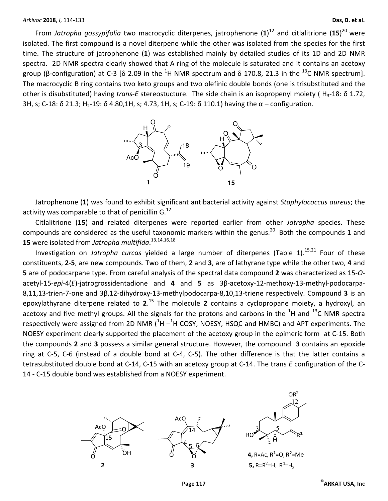From Jatropha gossypifolia two macrocyclic diterpenes, jatrophenone  $(1)^{12}$  and citlalitrione  $(15)^{20}$  were isolated. The first compound is a novel diterpene while the other was isolated from the species for the first time. The structure of jatrophenone (**1**) was established mainly by detailed studies of its 1D and 2D NMR spectra. 2D NMR spectra clearly showed that A ring of the molecule is saturated and it contains an acetoxy group (β-configuration) at C-3 [δ 2.09 in the <sup>1</sup>H NMR spectrum and δ 170.8, 21.3 in the <sup>13</sup>C NMR spectrum]. The macrocyclic B ring contains two keto groups and two olefinic double bonds (one is trisubstituted and the other is disubstituted) having *trans-E* stereostucture. The side chain is an isopropenyl moiety (H<sub>3</sub>-18: δ 1.72, 3H, s; C-18: δ 21.3; H<sub>2</sub>-19: δ 4.80,1H, s; 4.73, 1H, s; C-19: δ 110.1) having the  $\alpha$  – configuration.



Jatrophenone (**1**) was found to exhibit significant antibacterial activity against *Staphylococcus aureus*; the activity was comparable to that of penicillin  $G^{12}$ 

Citlalitrione (**15**) and related diterpenes were reported earlier from other *Jatropha* species. These compounds are considered as the useful taxonomic markers within the genus.<sup>20</sup> Both the compounds 1 and **15** were isolated from *Jatropha multifida*. 13,14,16,18

Investigation on *Jatropha curcas* yielded a large number of diterpenes (Table 1).<sup>15,21</sup> Four of these constituents, **2**-**5**, are new compounds. Two of them, **2** and **3**, are of lathyrane type while the other two, **4** and **5** are of podocarpane type. From careful analysis of the spectral data compound **2** was characterized as 15-*O*acetyl-15-*epi*-4(*E*)-jatrogrossidentadione and **4** and **5** as 3β-acetoxy-12-methoxy-13-methyl-podocarpa-8,11,13-trien-7-one and 3β,12-dihydroxy-13-methylpodocarpa-8,10,13-triene respectively. Compound **3** is an epoxylathyrane diterpene related to **2**. <sup>15</sup> The molecule **2** contains a cyclopropane moiety, a hydroxyl, an acetoxy and five methyl groups. All the signals for the protons and carbons in the  ${}^{1}$ H and  ${}^{13}$ C NMR spectra respectively were assigned from 2D NMR  $(^1H - ^1H$  COSY, NOESY, HSQC and HMBC) and APT experiments. The NOESY experiment clearly supported the placement of the acetoxy group in the epimeric form at C-15. Both the compounds **2** and **3** possess a similar general structure. However, the compound **3** contains an epoxide ring at C-5, C-6 (instead of a double bond at C-4, C-5). The other difference is that the latter contains a tetrasubstituted double bond at C-14, C-15 with an acetoxy group at C-14. The trans *E* configuration of the C-14 - C-15 double bond was established from a NOESY experiment.





4, R=Ac,  $R^1$ =O,  $R^2$ =Me 5, R=R<sup>2</sup>=H, R<sup>1</sup>=H<sub>2</sub>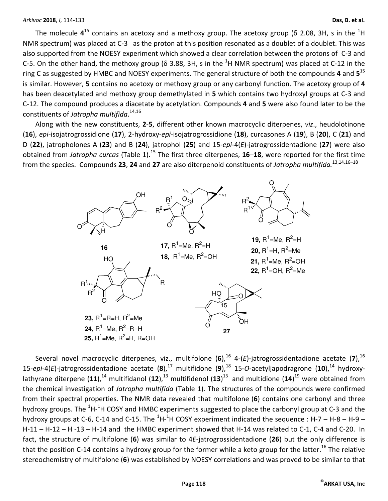The molecule 4<sup>15</sup> contains an acetoxy and a methoxy group. The acetoxy group (δ 2.08, 3H, s in the <sup>1</sup>H NMR spectrum) was placed at C-3 as the proton at this position resonated as a doublet of a doublet. This was also supported from the NOESY experiment which showed a clear correlation between the protons of C-3 and C-5. On the other hand, the methoxy group ( $\delta$  3.88, 3H, s in the  $^{1}$ H NMR spectrum) was placed at C-12 in the ring C as suggested by HMBC and NOESY experiments. The general structure of both the compounds **4** and **5** 15 is similar. However, **5** contains no acetoxy or methoxy group or any carbonyl function. The acetoxy group of **4** has been deacetylated and methoxy group demethylated in **5** which contains two hydroxyl groups at C-3 and C-12. The compound produces a diacetate by acetylation. Compounds **4** and **5** were also found later to be the constituents of *Jatropha multifida*. 14,16

Along with the new constituents, **2**-**5**, different other known macrocyclic diterpenes, *viz*., heudolotinone (**16**), *epi*-isojatrogrossidione (**17**), 2-hydroxy-*epi*-isojatrogrossidione (**18**), curcasones A (**19**), B (**20**), C (**21**) and D (**22**), jatropholones A (**23**) and B (**24**), jatrophol (**25**) and 15-*epi*-4(*E*)-jatrogrossidentadione (**27**) were also obtained from *Jatropha curcas* (Table 1).<sup>15</sup> The first three diterpenes, **16**–**18**, were reported for the first time from the species. Compounds **23**, **24** and **27** are also diterpenoid constituents of *Jatropha multifida.*13,14,16–18



Several novel macrocyclic diterpenes, viz., multifolone (6),<sup>16</sup> 4-(E)-jatrogrossidentadione acetate (7),<sup>16</sup> 15-*epi*-4(*E*)-jatrogrossidentadione acetate (8),<sup>17</sup> multifidone (9),<sup>18</sup> 15-*O*-acetyljapodragrone (10),<sup>14</sup> hydroxylathyrane diterpene (11),<sup>14</sup> multifidanol (12),<sup>13</sup> multifidenol (13)<sup>13</sup> and multidione (14)<sup>19</sup> were obtained from the chemical investigation of *Jatropha multifida* (Table 1). The structures of the compounds were confirmed from their spectral properties. The NMR data revealed that multifolone (**6**) contains one carbonyl and three hydroxy groups. The <sup>1</sup>H-<sup>1</sup>H COSY and HMBC experiments suggested to place the carbonyl group at C-3 and the hydroxy groups at C-6, C-14 and C-15. The  ${}^{1}$ H- ${}^{1}$ H COSY experiment indicated the sequence : H-7 – H-8 – H-9 – H-11 – H-12 – H -13 – H-14 and the HMBC experiment showed that H-14 was related to C-1, C-4 and C-20. In fact, the structure of multifolone (**6**) was similar to 4*E*-jatrogrossidentadione (**26**) but the only difference is that the position C-14 contains a hydroxy group for the former while a keto group for the latter.<sup>16</sup> The relative stereochemistry of multifolone (**6**) was established by NOESY correlations and was proved to be similar to that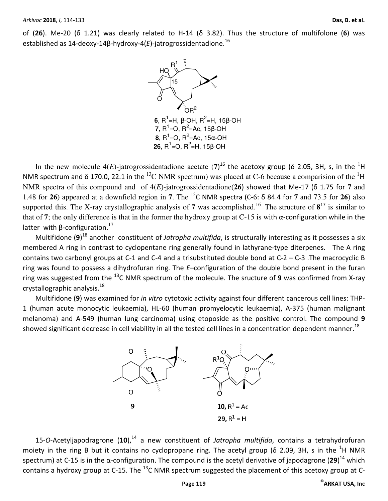of (**26**). Me-20 (δ 1.21) was clearly related to H-14 (δ 3.82). Thus the structure of multifolone (**6**) was established as 14-deoxy-14β-hydroxy-4(*E*)-jatrogrossidentadione.<sup>16</sup>



In the new molecule  $4(E)$ -jatrogrossidentadione acetate  $(7)^{16}$  the acetoxy group (δ 2.05, 3H, s, in the <sup>1</sup>H NMR spectrum and  $\delta$  170.0, 22.1 in the <sup>13</sup>C NMR spectrum) was placed at C-6 because a comparision of the <sup>1</sup>H NMR spectra of this compound and of 4(*E*)-jatrogrossidentadione(**26**) showed that Me-17 (δ 1.75 for **7** and 1.48 for **26**) appeared at a downfield region in **7**. The <sup>13</sup>C NMR spectra (C-6: δ 84.4 for **7** and 73.5 for **26**) also supported this. The X-ray crystallographic analysis of 7 was accomplished.<sup>16</sup> The structure of  $8^{17}$  is similar to that of **7**; the only difference is that in the former the hydroxy group at C-15 is with α-configuration while in the latter with  $β$ -configuration.<sup>17</sup>

Multifidone (**9**) <sup>18</sup> another constituent of *Jatropha multifida*, is structurally interesting as it possesses a six membered A ring in contrast to cyclopentane ring generally found in lathyrane-type diterpenes. The A ring contains two carbonyl groups at C-1 and C-4 and a trisubstituted double bond at C-2 – C-3 .The macrocyclic B ring was found to possess a dihydrofuran ring. The *E*–configuration of the double bond present in the furan ring was suggested from the <sup>13</sup>C NMR spectrum of the molecule. The sructure of **9** was confirmed from X-ray crystallographic analysis.<sup>18</sup>

Multifidone (**9**) was examined for *in vitro* cytotoxic activity against four different cancerous cell lines: THP-1 (human acute monocytic leukaemia), HL-60 (human promyelocytic leukaemia), A-375 (human malignant melanoma) and A-549 (human lung carcinoma) using etoposide as the positive control. The compound **9**  showed significant decrease in cell viability in all the tested cell lines in a concentration dependent manner.<sup>18</sup>



15-*O*-Acetyljapodragrone (**10**),<sup>14</sup> a new constituent of *Jatropha multifida*, contains a tetrahydrofuran moiety in the ring B but it contains no cyclopropane ring. The acetyl group ( $\delta$  2.09, 3H, s in the <sup>1</sup>H NMR spectrum) at C-15 is in the α-configuration. The compound is the acetyl derivative of japodagrone (**29**) <sup>14</sup> which contains a hydroxy group at C-15. The  $^{13}$ C NMR spectrum suggested the placement of this acetoxy group at C-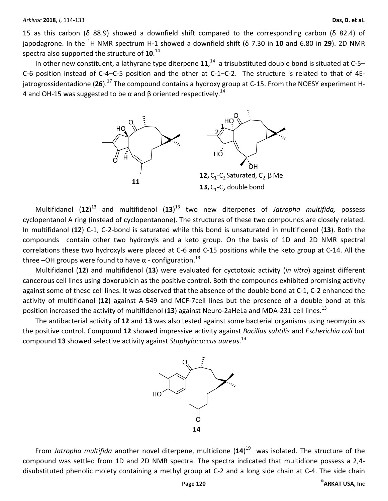15 as this carbon (δ 88.9) showed a downfield shift compared to the corresponding carbon (δ 82.4) of japodagrone. In the <sup>1</sup>H NMR spectrum H-1 showed a downfield shift (δ 7.30 in **10** and 6.80 in **29**). 2D NMR spectra also supported the structure of **10**. 14

In other new constituent, a lathyrane type diterpene 11,<sup>14</sup> a trisubstituted double bond is situated at C-5– C-6 position instead of C-4–C-5 position and the other at C-1–C-2. The structure is related to that of 4Ejatrogrossidentadione (26).<sup>17</sup> The compound contains a hydroxy group at C-15. From the NOESY experiment H-4 and OH-15 was suggested to be α and β oriented respectively.<sup>14</sup>



Multifidanol (**12**) <sup>13</sup> and multifidenol (**13**) <sup>13</sup> two new diterpenes of *Jatropha multifida,* possess cyclopentanol A ring (instead of cyclopentanone). The structures of these two compounds are closely related. In multifidanol (**12**) C-1, C-2-bond is saturated while this bond is unsaturated in multifidenol (**13**). Both the compounds contain other two hydroxyls and a keto group. On the basis of 1D and 2D NMR spectral correlations these two hydroxyls were placed at C-6 and C-15 positions while the keto group at C-14. All the three –OH groups were found to have  $\alpha$  - configuration.<sup>13</sup>

Multifidanol (**12**) and multifidenol (**13**) were evaluated for cyctotoxic activity (*in vitro*) against different cancerous cell lines using doxorubicin as the positive control. Both the compounds exhibited promising activity against some of these cell lines. It was observed that the absence of the double bond at C-1, C-2 enhanced the activity of multifidanol (**12**) against A-549 and MCF-7cell lines but the presence of a double bond at this position increased the activity of multifidenol (13) against Neuro-2aHeLa and MDA-231 cell lines.<sup>13</sup>

The antibacterial activity of **12** and **13** was also tested against some bacterial organisms using neomycin as the positive control. Compound **12** showed impressive activity against *Bacillus subtilis* and *Escherichia coli* but compound **13** showed selective activity against *Staphylococcus aureus*. 13



From *Jatropha multifida* another novel diterpene, multidione (**14**) <sup>19</sup> was isolated. The structure of the compound was settled from 1D and 2D NMR spectra. The spectra indicated that multidione possess a 2,4 disubstituted phenolic moiety containing a methyl group at C-2 and a long side chain at C-4. The side chain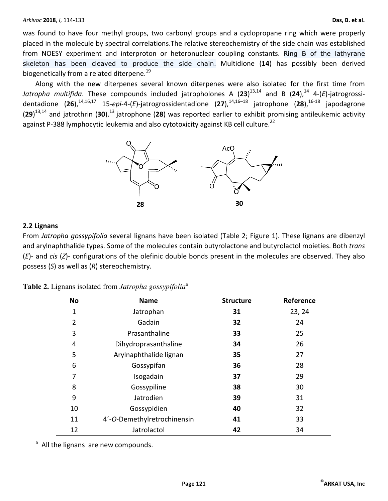was found to have four methyl groups, two carbonyl groups and a cyclopropane ring which were properly placed in the molecule by spectral correlations.The relative stereochemistry of the side chain was established from NOESY experiment and interproton or heteronuclear coupling constants. Ring B of the lathyrane skeleton has been cleaved to produce the side chain. Multidione (**14**) has possibly been derived biogenetically from a related diterpene.<sup>19</sup>

Along with the new diterpenes several known diterpenes were also isolated for the first time from Jatropha multifida. These compounds included jatropholones A (23)<sup>13,14</sup> and B (24),<sup>14</sup> 4-(*E*)-jatrogrossidentadione (26),<sup>14,16,17</sup> 15-*epi*-4-(*E*)-jatrogrossidentadione (27),<sup>14,16-18</sup> jatrophone (28),<sup>16-18</sup> japodagrone (29)<sup>13,14</sup> and jatrothrin (30).<sup>13</sup> jatrophone (28) was reported earlier to exhibit promising antileukemic activity against P-388 lymphocytic leukemia and also cytotoxicity against KB cell culture.<sup>22</sup>



## **2.2 Lignans**

From *Jatropha gossypifolia* several lignans have been isolated (Table 2; Figure 1). These lignans are dibenzyl and arylnaphthalide types. Some of the molecules contain butyrolactone and butyrolactol moieties. Both *trans* (*E*)- and *cis* (*Z*)- configurations of the olefinic double bonds present in the molecules are observed. They also possess (*S*) as well as (*R*) stereochemistry.

| <b>No</b>      | <b>Name</b>                 | <b>Structure</b> | Reference |
|----------------|-----------------------------|------------------|-----------|
| 1              | Jatrophan                   | 31               | 23, 24    |
| $\overline{2}$ | Gadain                      | 32               | 24        |
| 3              | Prasanthaline               | 33               | 25        |
| 4              | Dihydroprasanthaline        | 34               | 26        |
| 5              | Arylnaphthalide lignan      | 35               | 27        |
| 6              | Gossypifan                  | 36               | 28        |
| 7              | Isogadain                   | 37               | 29        |
| 8              | Gossypiline                 | 38               | 30        |
| 9              | Jatrodien                   | 39               | 31        |
| 10             | Gossypidien                 | 40               | 32        |
| 11             | 4'-O-Demethylretrochinensin | 41               | 33        |
| 12             | Jatrolactol                 | 42               | 34        |

|  |  |  |  | Table 2. Lignans isolated from Jatropha gossypifolia <sup>a</sup> |  |
|--|--|--|--|-------------------------------------------------------------------|--|
|--|--|--|--|-------------------------------------------------------------------|--|

<sup>a</sup> All the lignans are new compounds.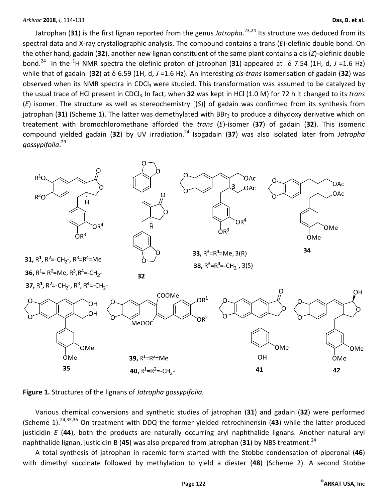Jatrophan (**31**) is the first lignan reported from the genus *Jatropha*. 23,24 Its structure was deduced from its spectral data and X-ray crystallographic analysis. The compound contains a trans (*E*)-olefinic double bond. On the other hand, gadain (**32**), another new lignan constituent of the same plant contains a cis (*Z*)-olefinic double bond.<sup>24</sup> In the <sup>1</sup>H NMR spectra the olefinic proton of jatrophan (**31**) appeared at δ 7.54 (1H, d, *J* =1.6 Hz) while that of gadain (**32**) at δ 6.59 (1H, d, *J* =1.6 Hz). An interesting *cis-trans* isomerisation of gadain (**32**) was observed when its NMR spectra in CDCl<sub>3</sub> were studied. This transformation was assumed to be catalyzed by the usual trace of HCl present in CDCl<sub>3.</sub> In fact, when 32 was kept in HCl (1.0 M) for 72 h it changed to its trans (*E*) isomer. The structure as well as stereochemistry [(*S*)] of gadain was confirmed from its synthesis from jatrophan (31) (Scheme 1). The latter was demethylated with BBr<sub>3</sub> to produce a dihydoxy derivative which on treatement with bromochloromethane afforded the *trans* (*E*)-isomer (**37**) of gadain (**32**). This isomeric compound yielded gadain (32) by UV irradiation.<sup>24</sup> Isogadain (37) was also isolated later from Jatropha *gossypifolia*. 29





Various chemical conversions and synthetic studies of jatrophan (**31**) and gadain (**32**) were performed (Scheme 1).24,35,36 On treatment with DDQ the former yielded retrochinensin (**43**) while the latter produced justicidin *E* (**44**), both the products are naturally occurring aryl naphthalide lignans. Another natural aryl naphthalide lignan, justicidin B (45) was also prepared from jatrophan (31) by NBS treatment.<sup>24</sup>

A total synthesis of jatrophan in racemic form started with the Stobbe condensation of piperonal (**46**) with dimethyl succinate followed by methylation to yield a diester (**48**) (Scheme 2). A second Stobbe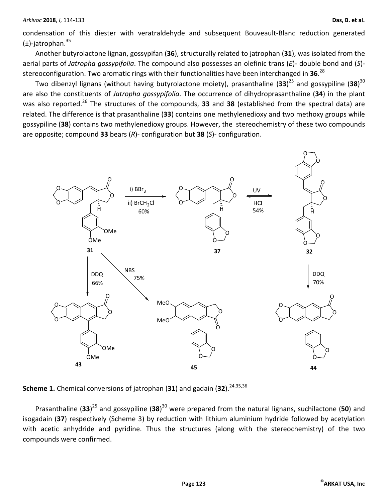condensation of this diester with veratraldehyde and subsequent Bouveault-Blanc reduction generated  $(\pm)$ -jatrophan.<sup>35</sup>

Another butyrolactone lignan, gossypifan (**36**), structurally related to jatrophan (**31**), was isolated from the aerial parts of *Jatropha gossypifolia*. The compound also possesses an olefinic trans (*E*)- double bond and (*S*) stereoconfiguration. Two aromatic rings with their functionalities have been interchanged in **36**. 28

Two dibenzyl lignans (without having butyrolactone moiety), prasanthaline (**33**) <sup>25</sup> and gossypiline (**38**) 30 are also the constituents of *Jatropha gossypifolia*. The occurrence of dihydroprasanthaline (**34**) in the plant was also reported.<sup>26</sup> The structures of the compounds, **33** and **38** (established from the spectral data) are related. The difference is that prasanthaline (**33**) contains one methylenedioxy and two methoxy groups while gossypiline (**38**) contains two methylenedioxy groups. However, the stereochemistry of these two compounds are opposite; compound **33** bears (*R*)- configuration but **38** (*S*)- configuration.



**Scheme 1.** Chemical conversions of jatrophan (31) and gadain (32).<sup>24,35,36</sup>

Prasanthaline (**33**) <sup>25</sup> and gossypiline (**38**) <sup>30</sup> were prepared from the natural lignans, suchilactone (**50**) and isogadain (**37**) respectively (Scheme 3) by reduction with lithium aluminium hydride followed by acetylation with acetic anhydride and pyridine. Thus the structures (along with the stereochemistry) of the two compounds were confirmed.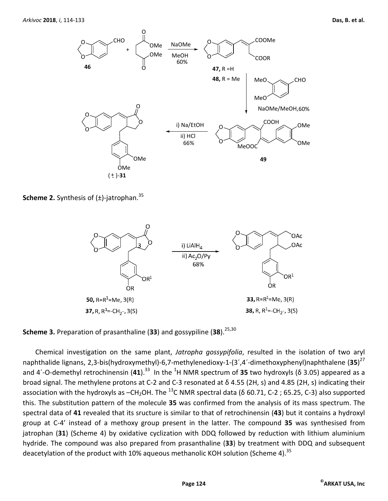

**Scheme 2.** Synthesis of ( $\pm$ )-jatrophan.<sup>35</sup>



**Scheme 3.** Preparation of prasanthaline (33) and gossypiline (38).<sup>25,30</sup>

Chemical investigation on the same plant, *Jatropha gossypifolia*, resulted in the isolation of two aryl naphthalide lignans, 2,3-bis(hydroxymethyl)-6,7-methylenedioxy-1-(3´,4´-dimethoxyphenyl)naphthalene (**35**) 27 and 4´-O-demethyl retrochinensin (41).<sup>33</sup> In the <sup>1</sup>H NMR spectrum of 35 two hydroxyls (δ 3.05) appeared as a broad signal. The methylene protons at C-2 and C-3 resonated at δ 4.55 (2H, s) and 4.85 (2H, s) indicating their association with the hydroxyls as  $-CH_2OH$ . The <sup>13</sup>C NMR spectral data ( $\delta$  60.71, C-2; 65.25, C-3) also supported this. The substitution pattern of the molecule **35** was confirmed from the analysis of its mass spectrum. The spectral data of **41** revealed that its sructure is similar to that of retrochinensin (**43**) but it contains a hydroxyl group at C-4' instead of a methoxy group present in the latter. The compound **35** was synthesised from jatrophan (**31**) (Scheme 4) by oxidative cyclization with DDQ followed by reduction with lithium aluminium hydride. The compound was also prepared from prasanthaline (**33**) by treatment with DDQ and subsequent deacetylation of the product with 10% aqueous methanolic KOH solution (Scheme 4).<sup>35</sup>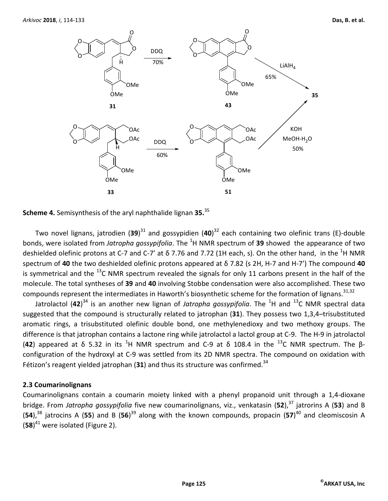



Two novel lignans, jatrodien (**39**) <sup>31</sup> and gossypidien (**40**) <sup>32</sup> each containing two olefinic trans (E)-double bonds, were isolated from *Jatropha gossypifolia*. The <sup>1</sup>H NMR spectrum of **39** showed the appearance of two deshielded olefinic protons at C-7 and C-7' at  $\delta$  7.76 and 7.72 (1H each, s). On the other hand, in the <sup>1</sup>H NMR spectrum of **40** the two deshielded olefinic protons appeared at δ 7.82 (s 2H, H-7 and H-7') The compound **40** is symmetrical and the  $^{13}$ C NMR spectrum revealed the signals for only 11 carbons present in the half of the molecule. The total syntheses of **39** and **40** involving Stobbe condensation were also accomplished. These two compounds represent the intermediates in Haworth's biosynthetic scheme for the formation of lignans.<sup>31,32</sup>

Jatrolactol (42)<sup>34</sup> is an another new lignan of *Jatropha gossypifolia*. The <sup>1</sup>H and <sup>13</sup>C NMR spectral data suggested that the compound is structurally related to jatrophan (**31**). They possess two 1,3,4–trisubstituted aromatic rings, a trisubstituted olefinic double bond, one methylenedioxy and two methoxy groups. The difference is that jatrophan contains a lactone ring while jatrolactol a lactol group at C-9. The H-9 in jatrolactol (42) appeared at δ 5.32 in its <sup>1</sup>H NMR spectrum and C-9 at δ 108.4 in the <sup>13</sup>C NMR spectrum. The βconfiguration of the hydroxyl at C-9 was settled from its 2D NMR spectra. The compound on oxidation with Fétizon's reagent yielded jatrophan  $(31)$  and thus its structure was confirmed.<sup>34</sup>

## **2.3 Coumarinolignans**

Coumarinolignans contain a coumarin moiety linked with a phenyl propanoid unit through a 1,4-dioxane bridge. From *Jatropha gossypifolia* five new coumarinolignans, viz., venkatasin (**52**),<sup>37</sup> jatrorins A (**53**) and B (54),<sup>38</sup> jatrocins A (55) and B (56)<sup>39</sup> along with the known compounds, propacin (57)<sup>40</sup> and cleomiscosin A (**58**) <sup>41</sup> were isolated (Figure 2).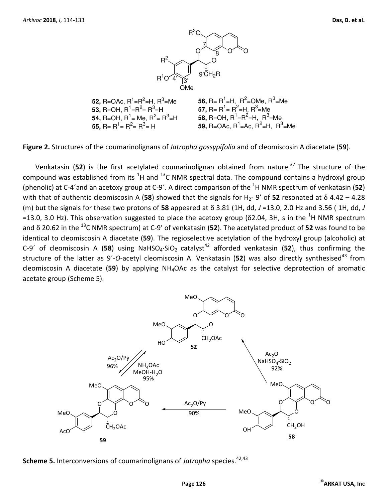

**Figure 2.** Structures of the coumarinolignans of *Jatropha gossypifolia* and of cleomiscosin A diacetate (**59**).

Venkatasin (52) is the first acetylated coumarinolignan obtained from nature.<sup>37</sup> The structure of the compound was established from its  ${}^{1}$ H and  ${}^{13}$ C NMR spectral data. The compound contains a hydroxyl group (phenolic) at C-4´and an acetoxy group at C-9´. A direct comparison of the <sup>1</sup>H NMR spectrum of venkatasin (**52**) with that of authentic cleomiscosin A (58) showed that the signals for H<sub>2</sub>- 9' of 52 resonated at δ 4.42 – 4.28 (m) but the signals for these two protons of **58** appeared at δ 3.81 (1H, dd, *J* =13.0, 2.0 Hz and 3.56 ( 1H, dd, *J* =13.0, 3.0 Hz). This observation suggested to place the acetoxy group ( $\delta$ 2.04, 3H, s in the <sup>1</sup>H NMR spectrum and δ 20.62 in the <sup>13</sup>C NMR spectrum) at C-9' of venkatasin (**52**). The acetylated product of **52** was found to be identical to cleomiscosin A diacetate (**59**). The regioselective acetylation of the hydroxyl group (alcoholic) at C-9<sup>'</sup> of cleomiscosin A (58) using NaHSO<sub>4</sub>·SiO<sub>2</sub> catalyst<sup>42</sup> afforded venkatasin (52), thus confirming the structure of the latter as 9´-O-acetyl cleomiscosin A. Venkatasin (52) was also directly synthesised<sup>43</sup> from cleomiscosin A diacetate (**59**) by applying NH4OAc as the catalyst for selective deprotection of aromatic acetate group (Scheme 5).



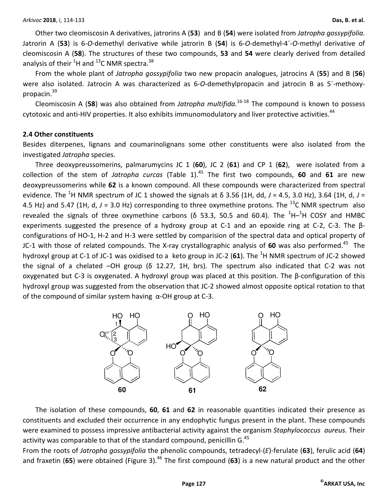Other two cleomiscosin A derivatives, jatrorins A (**53**) and B (**54**) were isolated from *Jatropha gossypifolia*. Jatrorin A (**53**) is 6-*O*-demethyl derivative while jatrorin B (**54**) is 6-*O*-demethyl-4´-*O*-methyl derivative of cleomiscosin A (**58**). The structures of these two compounds, **53** and **54** were clearly derived from detailed analysis of their  ${}^{1}$ H and  ${}^{13}$ C NMR spectra.<sup>38</sup>

From the whole plant of *Jatropha gossypifolia* two new propacin analogues, jatrocins A (**55**) and B (**56**) were also isolated. Jatrocin A was characterized as 6-*O*-demethylpropacin and jatrocin B as 5´-methoxypropacin.<sup>39</sup>

Cleomiscosin A (**58**) was also obtained from *Jatropha multifida*. 16-18 The compound is known to possess cytotoxic and anti-HIV properties. It also exhibits immunomodulatory and liver protective activities.<sup>44</sup>

#### **2.4 Other constituents**

Besides diterpenes, lignans and coumarinolignans some other constituents were also isolated from the investigated *Jatropha* species.

Three deoxypreussomerins, palmarumycins JC 1 (**60**), JC 2 (**61**) and CP 1 (**62**), were isolated from a collection of the stem of *Jatropha curcas* (Table 1).<sup>45</sup> The first two compounds, 60 and 61 are new deoxypreussomerins while **62** is a known compound. All these compounds were characterized from spectral evidence. The <sup>1</sup>H NMR spectrum of JC 1 showed the signals at  $\delta$  3.56 (1H, dd, J = 4.5, 3.0 Hz), 3.64 (1H, d, J = 4.5 Hz) and 5.47 (1H, d,  $J = 3.0$  Hz) corresponding to three oxymethine protons. The <sup>13</sup>C NMR spectrum also revealed the signals of three oxymethine carbons ( $\delta$  53.3, 50.5 and 60.4). The <sup>1</sup>H-<sup>1</sup>H COSY and HMBC experiments suggested the presence of a hydroxy group at C-1 and an epoxide ring at C-2, C-3. The βconfigurations of HO-1, H-2 and H-3 were settled by comparision of the spectral data and optical property of JC-1 with those of related compounds. The X-ray crystallographic analysis of 60 was also performed.<sup>45</sup> The hydroxyl group at C-1 of JC-1 was oxidised to a keto group in JC-2 (61). The <sup>1</sup>H NMR spectrum of JC-2 showed the signal of a chelated –OH group (δ 12.27, 1H, brs). The spectrum also indicated that C-2 was not oxygenated but C-3 is oxygenated. A hydroxyl group was placed at this position. The β-configuration of this hydroxyl group was suggested from the observation that JC-2 showed almost opposite optical rotation to that of the compound of similar system having α-OH group at C-3.



The isolation of these compounds, **60**, **61** and **62** in reasonable quantities indicated their presence as constituents and excluded their occurrence in any endophytic fungus present in the plant. These compounds were examined to possess impressive antibacterial activity against the organism *Staphylococcus aureus.* Their activity was comparable to that of the standard compound, penicillin G.<sup>45</sup>

From the roots of *Jatropha gossypifolia* the phenolic compounds, tetradecyl-(*E*)-ferulate (**63**), ferulic acid (**64**) and fraxetin (65) were obtained (Figure 3).<sup>46</sup> The first compound (63) is a new natural product and the other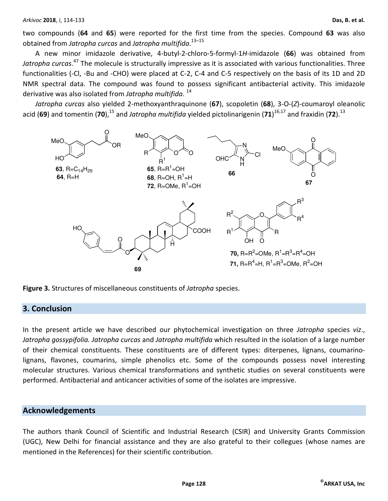two compounds (**64** and **65**) were reported for the first time from the species. Compound **63** was also obtained from *Jatropha curcas* and *Jatropha multifida*. 13–15

A new minor imidazole derivative, 4-butyl-2-chloro-5-formyl-1*H*-imidazole (**66**) was obtained from *Jatropha curcas*. <sup>47</sup> The molecule is structurally impressive as it is associated with various functionalities. Three functionalities (-Cl, -Bu and -CHO) were placed at C-2, C-4 and C-5 respectively on the basis of its 1D and 2D NMR spectral data. The compound was found to possess significant antibacterial activity. This imidazole derivative was also isolated from *Jatropha multifida*. 14

*Jatropha curcas* also yielded 2-methoxyanthraquinone (**67**), scopoletin (**68**), 3-O-(*Z*)-coumaroyl oleanolic acid (69) and tomentin (70),<sup>15</sup> and *Jatropha multifida* yielded pictolinarigenin (71)<sup>16,17</sup> and fraxidin (72).<sup>13</sup>



**Figure 3.** Structures of miscellaneous constituents of *Jatropha* species.

# **3. Conclusion**

In the present article we have described our phytochemical investigation on three *Jatropha* species *viz*., *Jatropha gossypifolia. Jatropha curcas* and *Jatropha multifida* which resulted in the isolation of a large number of their chemical constituents. These constituents are of different types: diterpenes, lignans, coumarinolignans, flavones, coumarins, simple phenolics etc. Some of the compounds possess novel interesting molecular structures. Various chemical transformations and synthetic studies on several constituents were performed. Antibacterial and anticancer activities of some of the isolates are impressive.

## **Acknowledgements**

The authors thank Council of Scientific and Industrial Research (CSIR) and University Grants Commission (UGC), New Delhi for financial assistance and they are also grateful to their collegues (whose names are mentioned in the References) for their scientific contribution.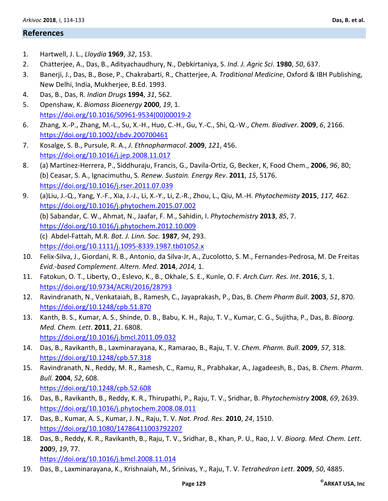## **References**

- 1. Hartwell, J. L., *Lloydia* **1969**, *32*, 153.
- 2. Chatterjee, A., Das, B., Adityachaudhury, N., Debkirtaniya, S. *Ind. J. Agric Sci*. **1980**, *50*, 637.
- 3. Banerji, J., Das, B., Bose, P., Chakrabarti, R., Chatterjee, A. *Traditional Medicine*, Oxford & IBH Publishing, New Delhi, India, Mukherjee, B.Ed. 1993.
- 4. Das, B., Das, R. *Indian Drugs* **1994**, *31*, 562.
- 5. Openshaw, K. *Biomass Bioenergy* **2000**, *19*, 1. https://doi.org/10.1016/S0961-9534(00)00019-2
- 6. Zhang, X.-P., Zhang, M.-L., Su, X.-H., Huo, C.-H., Gu, Y.-C., Shi, Q.-W., *Chem. Biodiver*. **2009**, *6*, 2166. https://doi.org/10.1002/cbdv.200700461
- 7. Kosalge, S. B., Pursule, R. A., *J. Ethnopharmacol*. **2009**, *121*, 456. https://doi.org/10.1016/j.jep.2008.11.017
- 8. (a) Martinez-Herrera, P., Siddhuraju, Francis, G., Davila-Ortiz, G, Becker, K, Food Chem., **2006**, *96*, 80; (b) Ceasar, S. A., Ignacimuthu, S. *Renew. Sustain. Energy Rev*. **2011**, *15*, 5176. https://doi.org/10.1016/j.rser.2011.07.039
- 9. (a)Liu, J.-Q., Yang, Y.-F., Xia, J.-J., Li, X.-Y., Li, Z.-R., Zhou, L., Qiu, M.-H. *Phytochemisty* **2015**, *117,* 462. https://doi.org/10.1016/j.phytochem.2015.07.002 (b) Sabandar, C. W., Ahmat, N., Jaafar, F. M., Sahidin, I. *Phytochemistry* **2013**, *85*, 7. https://doi.org/10.1016/j.phytochem.2012.10.009 (c) Abdel-Fattah, M.R. *Bot. J. Linn. Soc.* **1987**, *94*, 293. https://doi.org/10.1111/j.1095-8339.1987.tb01052.x
- 10. Felix-Silva, J., Giordani, R. B., Antonio, da Silva-Jr, A., Zucolotto, S. M., Fernandes-Pedrosa, M. De Freitas *Evid.-based Complement. Altern. Med*. **2014**, *2014,* 1.
- 11. Fatokun, O. T., Liberty, O., Eslevo, K., B., Okhale, S. E., Kunle, O. F. *Arch.Curr. Res. Int*. **2016**, *5*, 1. https://doi.org/10.9734/ACRI/2016/28793
- 12. Ravindranath, N., Venkataiah, B., Ramesh, C., Jayaprakash, P., Das, B. *Chem Pharm Bull*. **2003**, *51*, 870. https://doi.org/10.1248/cpb.51.870
- 13. Kanth, B. S., Kumar, A. S., Shinde, D. B., Babu, K. H., Raju, T. V., Kumar, C. G., Sujitha, P., Das, B. *Bioorg. Med. Chem. Lett*. **2011**, *21*. 6808. https://doi.org/10.1016/j.bmcl.2011.09.032
- 14. Das, B., Ravikanth, B., Laxminarayana, K., Ramarao, B., Raju, T. V. *Chem. Pharm. Bull*. **2009**, *57*, 318. https://doi.org/10.1248/cpb.57.318
- 15. Ravindranath, N., Reddy, M. R., Ramesh, C., Ramu, R., Prabhakar, A., Jagadeesh, B., Das, B. *Chem. Pharm. Bull.* **2004**, *52*, 608. https://doi.org/10.1248/cpb.52.608
- 16. Das, B., Ravikanth, B., Reddy, K. R., Thirupathi, P., Raju, T. V., Sridhar, B. *Phytochemistry* **2008**, *69*, 2639. https://doi.org/10.1016/j.phytochem.2008.08.011
- 17. Das, B., Kumar, A. S., Kumar, J. N., Raju, T. V. *Nat. Prod. Res*. **2010**, *24*, 1510. https://doi.org/10.1080/14786411003792207
- 18. Das, B., Reddy, K. R., Ravikanth, B., Raju, T. V., Sridhar, B., Khan, P. U., Rao, J. V. *Bioorg. Med. Chem. Lett*. **200**9, *19*, 77. https://doi.org/10.1016/j.bmcl.2008.11.014
- 19. Das, B., Laxminarayana, K., Krishnaiah, M., Srinivas, Y., Raju, T. V. *Tetrahedron Lett*. **2009**, *50*, 4885.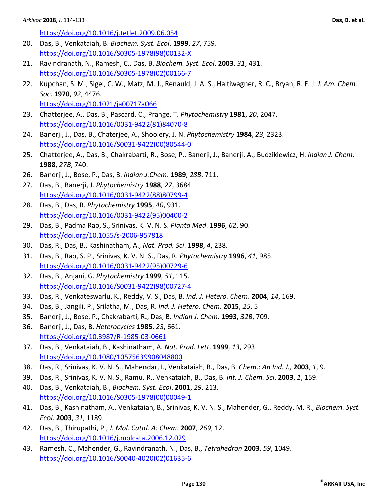https://doi.org/10.1016/j.tetlet.2009.06.054

- 20. Das, B., Venkataiah, B. *Biochem. Syst. Ecol*. **1999**, *27*, 759. https://doi.org/10.1016/S0305-1978(98)00132-X
- 21. Ravindranath, N., Ramesh, C., Das, B. *Biochem. Syst. Ecol*. **2003**, *31*, 431. https://doi.org/10.1016/S0305-1978(02)00166-7
- 22. Kupchan, S. M., Sigel, C. W., Matz, M. J., Renauld, J. A. S., Haltiwagner, R. C., Bryan, R. F. J. *J. Am. Chem. Soc*. **1970**, *92*, 4476. https://doi.org/10.1021/ja00717a066
- 23. Chatterjee, A., Das, B., Pascard, C., Prange, T. *Phytochemistry* **1981**, *20*, 2047. https://doi.org/10.1016/0031-9422(81)84070-8
- 24. Banerji, J., Das, B., Chaterjee, A., Shoolery, J. N. *Phytochemistry* **1984**, *23*, 2323. https://doi.org/10.1016/S0031-9422(00)80544-0
- 25. Chatterjee, A., Das, B., Chakrabarti, R., Bose, P., Banerji, J., Banerji, A., Budzikiewicz, H. *Indian J. Chem*. **1988**, *27B*, 740.
- 26. Banerji, J., Bose, P., Das, B. *Indian J.Chem*. **1989**, *28B*, 711.
- 27. Das, B., Banerji, J. *Phytochemistry* **1988**, *27*, 3684. https://doi.org/10.1016/0031-9422(88)80799-4
- 28. Das, B., Das, R. *Phytochemistry* **1995**, *40*, 931. https://doi.org/10.1016/0031-9422(95)00400-2
- 29. Das, B., Padma Rao, S., Srinivas, K. V. N. S. *Planta Med*. **1996**, *62*, 90. https://doi.org/10.1055/s-2006-957818
- 30. Das, R., Das, B., Kashinatham, A., *Nat. Prod. Sci*. **1998**, *4*, 238.
- 31. Das, B., Rao, S. P., Srinivas, K. V. N. S., Das, R. *Phytochemistry* **1996**, *41*, 985. https://doi.org/10.1016/0031-9422(95)00729-6
- 32. Das, B., Anjani, G. *Phytochemistry* **1999**, *51*, 115. https://doi.org/10.1016/S0031-9422(98)00727-4
- 33. Das, R., Venkateswarlu, K., Reddy, V. S., Das, B. *Ind. J. Hetero. Chem*. **2004**, *14*, 169.
- 34. Das, B., Jangili. P., Srilatha, M., Das, R. *Ind. J. Hetero. Chem*. **2015**, *25*, 5
- 35. Banerji, J., Bose, P., Chakrabarti, R., Das, B. *Indian J. Chem*. **1993**, *32B*, 709.
- 36. Banerji, J., Das, B. *Heterocycles* **1985**, *23*, 661. https://doi.org/10.3987/R-1985-03-0661
- 37. Das, B., Venkataiah, B., Kashinatham, A. *Nat. Prod. Lett*. **1999**, *13*, 293. https://doi.org/10.1080/10575639908048800
- 38. Das, R., Srinivas, K. V. N. S., Mahendar, I., Venkataiah, B., Das, B. *Chem*.: *An Ind. J.,* **2003**, *1*, 9.
- 39. Das, R., Srinivas, K. V. N. S., Ramu, R., Venkataiah, B., Das, B. *Int. J. Chem. Sci*. **2003**, *1*, 159.
- 40. Das, B., Venkataiah, B., *Biochem. Syst. Ecol*. **2001**, *29*, 213. https://doi.org/10.1016/S0305-1978(00)00049-1
- 41. Das, B., Kashinatham, A., Venkataiah, B., Srinivas, K. V. N. S., Mahender, G., Reddy, M. R., *Biochem. Syst. Ecol*. **2003**, *31*, 1189.
- 42. Das, B., Thirupathi, P., *J. Mol. Catal. A: Chem*. **2007**, *269*, 12. https://doi.org/10.1016/j.molcata.2006.12.029
- 43. Ramesh, C., Mahender, G., Ravindranath, N., Das, B., *Tetrahedron* **2003**, *59*, 1049. https://doi.org/10.1016/S0040-4020(02)01635-6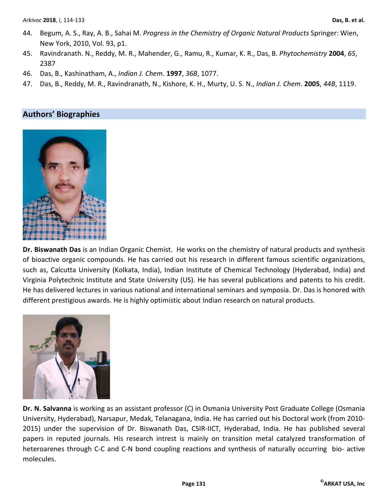- 44. Begum, A. S., Ray, A. B., Sahai M*. Progress in the Chemistry of Organic Natural Products* Springer: Wien, New York, 2010, Vol. 93, p1.
- 45. Ravindranath. N., Reddy, M. R., Mahender, G., Ramu, R., Kumar, K. R., Das, B. *Phytochemistry* **2004**, *65*, 2387
- 46. Das, B., Kashinatham, A., *Indian J. Chem*. **1997**, *36B*, 1077.
- 47. Das, B., Reddy, M. R., Ravindranath, N., Kishore, K. H., Murty, U. S. N., *Indian J. Chem*. **2005**, *44B*, 1119.

# **Authors' Biographies**



**Dr. Biswanath Das** is an Indian Organic Chemist. He works on the chemistry of natural products and synthesis of bioactive organic compounds. He has carried out his research in different famous scientific organizations, such as, Calcutta University (Kolkata, India), Indian Institute of Chemical Technology (Hyderabad, India) and Virginia Polytechnic Institute and State University (US). He has several publications and patents to his credit. He has delivered lectures in various national and international seminars and symposia. Dr. Das is honored with different prestigious awards. He is highly optimistic about Indian research on natural products.



**Dr. N. Salvanna** is working as an assistant professor (C) in Osmania University Post Graduate College (Osmania University, Hyderabad), Narsapur, Medak, Telanagana, India. He has carried out his Doctoral work (from 2010- 2015) under the supervision of Dr. Biswanath Das, CSIR-IICT, Hyderabad, India. He has published several papers in reputed journals. His research intrest is mainly on transition metal catalyzed transformation of heteroarenes through C-C and C-N bond coupling reactions and synthesis of naturally occurring bio- active molecules.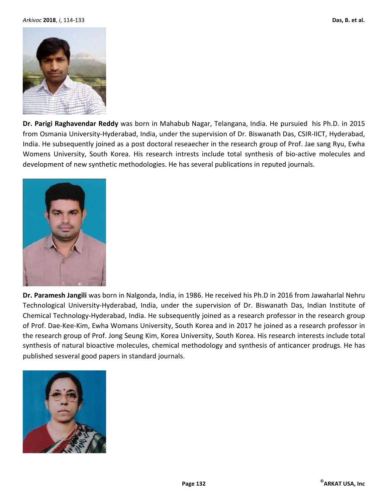

**Dr. Parigi Raghavendar Reddy** was born in Mahabub Nagar, Telangana, India. He pursuied his Ph.D. in 2015 from Osmania University-Hyderabad, India, under the supervision of Dr. Biswanath Das, CSIR-IICT, Hyderabad, India. He subsequently joined as a post doctoral reseaecher in the research group of Prof. Jae sang Ryu, Ewha Womens University, South Korea. His research intrests include total synthesis of bio-active molecules and development of new synthetic methodologies. He has several publications in reputed journals.



**Dr. Paramesh Jangili** was born in Nalgonda, India, in 1986. He received his Ph.D in 2016 from Jawaharlal Nehru Technological University-Hyderabad, India, under the supervision of Dr. Biswanath Das, Indian Institute of Chemical Technology-Hyderabad, India. He subsequently joined as a research professor in the research group of Prof. Dae-Kee-Kim, Ewha Womans University, South Korea and in 2017 he joined as a research professor in the research group of Prof. Jong Seung Kim, Korea University, South Korea. His research interests include total synthesis of natural bioactive molecules, chemical methodology and synthesis of anticancer prodrugs. He has published sesveral good papers in standard journals.